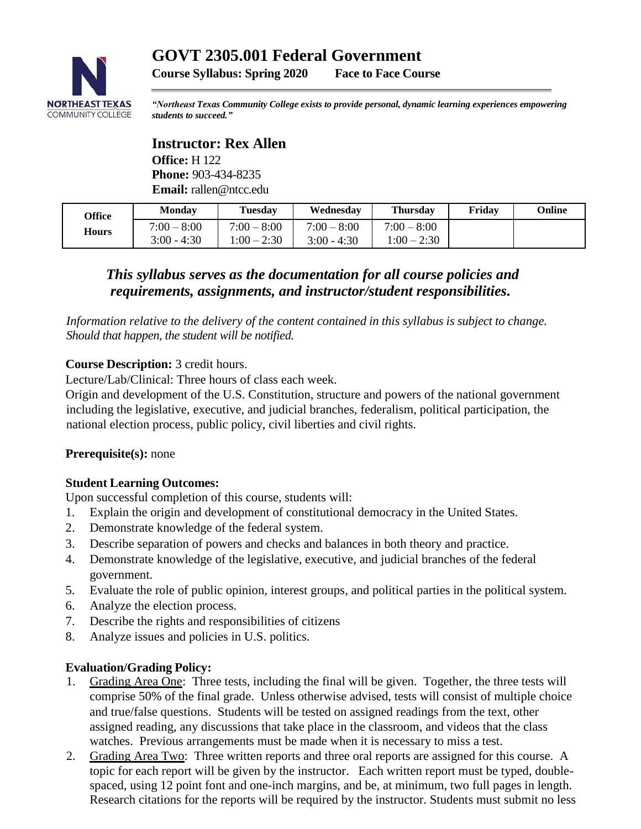# **NORTHEAST TEXAS COMMUNITY COLLEGE**

**Course Syllabus: Spring 2020 Face to Face Course**

*"Northeast Texas Community College exists to provide personal, dynamic learning experiences empowering students to succeed."*

## **Instructor: Rex Allen**

**Office:** H 122 **Phone:** 903-434-8235 **Email:** rallen@ntcc.edu

| Office | <b>Monday</b>                  | Tuesdav                        | Wednesday                      | <b>Thursday</b>                | Fridav | Online |
|--------|--------------------------------|--------------------------------|--------------------------------|--------------------------------|--------|--------|
| Hours  | $7:00 - 8:00$<br>$3:00 - 4:30$ | $7:00 - 8:00$<br>$1:00 - 2:30$ | $7:00 - 8:00$<br>$3:00 - 4:30$ | $7:00 - 8:00$<br>$1:00 - 2:30$ |        |        |

### *This syllabus serves as the documentation for all course policies and requirements, assignments, and instructor/student responsibilities.*

*Information relative to the delivery of the content contained in this syllabus is subject to change. Should that happen, the student will be notified.*

#### **Course Description:** 3 credit hours.

Lecture/Lab/Clinical: Three hours of class each week.

Origin and development of the U.S. Constitution, structure and powers of the national government including the legislative, executive, and judicial branches, federalism, political participation, the national election process, public policy, civil liberties and civil rights.

#### **Prerequisite(s):** none

#### **Student Learning Outcomes:**

Upon successful completion of this course, students will:

- 1. Explain the origin and development of constitutional democracy in the United States.
- 2. Demonstrate knowledge of the federal system.
- 3. Describe separation of powers and checks and balances in both theory and practice.
- 4. Demonstrate knowledge of the legislative, executive, and judicial branches of the federal government.
- 5. Evaluate the role of public opinion, interest groups, and political parties in the political system.
- 6. Analyze the election process.
- 7. Describe the rights and responsibilities of citizens
- 8. Analyze issues and policies in U.S. politics.

#### **Evaluation/Grading Policy:**

- 1. Grading Area One: Three tests, including the final will be given. Together, the three tests will comprise 50% of the final grade. Unless otherwise advised, tests will consist of multiple choice and true/false questions. Students will be tested on assigned readings from the text, other assigned reading, any discussions that take place in the classroom, and videos that the class watches. Previous arrangements must be made when it is necessary to miss a test.
- 2. Grading Area Two: Three written reports and three oral reports are assigned for this course. A topic for each report will be given by the instructor. Each written report must be typed, doublespaced, using 12 point font and one-inch margins, and be, at minimum, two full pages in length. Research citations for the reports will be required by the instructor. Students must submit no less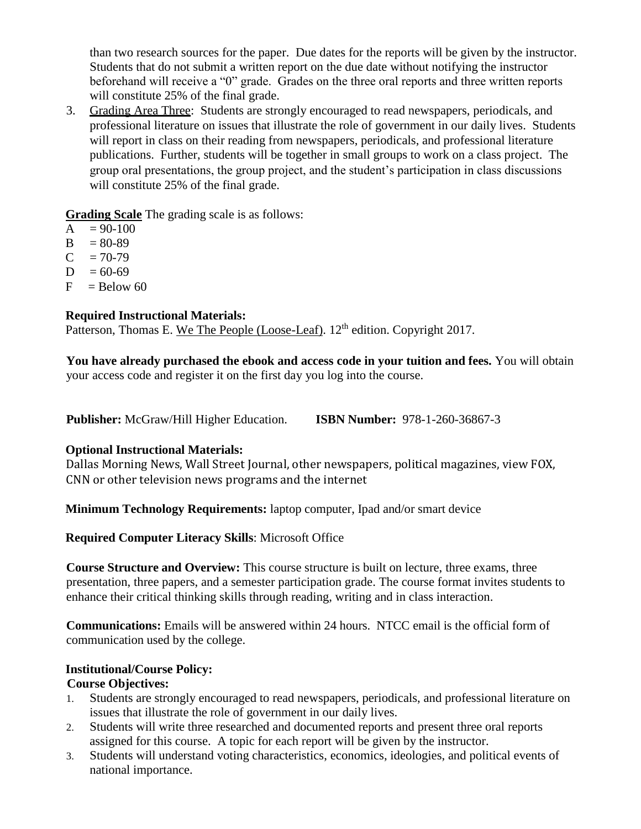than two research sources for the paper. Due dates for the reports will be given by the instructor. Students that do not submit a written report on the due date without notifying the instructor beforehand will receive a "0" grade. Grades on the three oral reports and three written reports will constitute 25% of the final grade.

3. Grading Area Three: Students are strongly encouraged to read newspapers, periodicals, and professional literature on issues that illustrate the role of government in our daily lives. Students will report in class on their reading from newspapers, periodicals, and professional literature publications. Further, students will be together in small groups to work on a class project. The group oral presentations, the group project, and the student's participation in class discussions will constitute 25% of the final grade.

**Grading Scale** The grading scale is as follows:

- $A = 90-100$
- $B = 80-89$
- $C = 70-79$
- $D = 60-69$
- $F =$ Below 60

#### **Required Instructional Materials:**

Patterson, Thomas E. We The People (Loose-Leaf). 12<sup>th</sup> edition. Copyright 2017.

**You have already purchased the ebook and access code in your tuition and fees.** You will obtain your access code and register it on the first day you log into the course.

**Publisher:** McGraw/Hill Higher Education. **ISBN Number:** 978-1-260-36867-3

#### **Optional Instructional Materials:**

Dallas Morning News, Wall Street Journal, other newspapers, political magazines, view FOX, CNN or other television news programs and the internet

**Minimum Technology Requirements:** laptop computer, Ipad and/or smart device

**Required Computer Literacy Skills**: Microsoft Office

**Course Structure and Overview:** This course structure is built on lecture, three exams, three presentation, three papers, and a semester participation grade. The course format invites students to enhance their critical thinking skills through reading, writing and in class interaction.

**Communications:** Emails will be answered within 24 hours. NTCC email is the official form of communication used by the college.

#### **Institutional/Course Policy: Course Objectives:**

- 1. Students are strongly encouraged to read newspapers, periodicals, and professional literature on issues that illustrate the role of government in our daily lives.
- 2. Students will write three researched and documented reports and present three oral reports assigned for this course. A topic for each report will be given by the instructor.
- 3. Students will understand voting characteristics, economics, ideologies, and political events of national importance.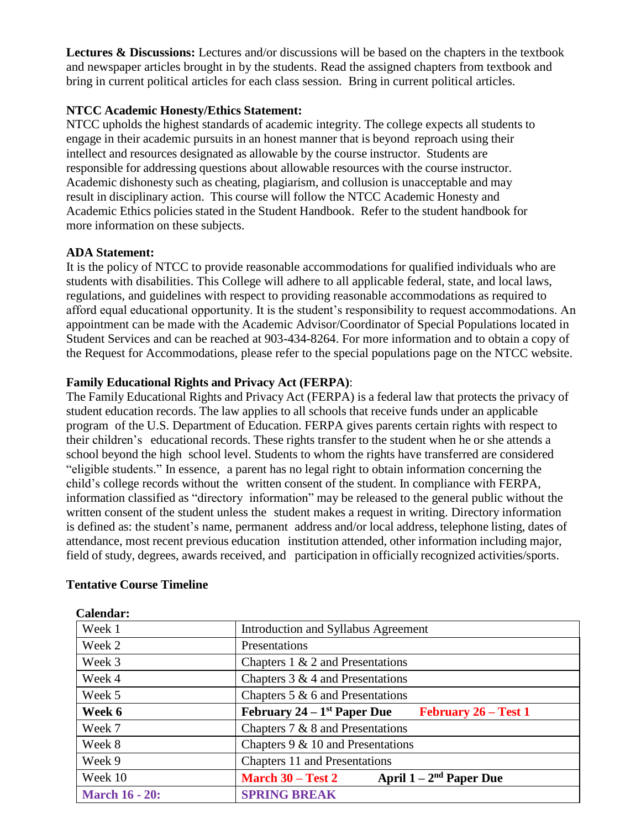**Lectures & Discussions:** Lectures and/or discussions will be based on the chapters in the textbook and newspaper articles brought in by the students. Read the assigned chapters from textbook and bring in current political articles for each class session. Bring in current political articles.

#### **NTCC Academic Honesty/Ethics Statement:**

NTCC upholds the highest standards of academic integrity. The college expects all students to engage in their academic pursuits in an honest manner that is beyond reproach using their intellect and resources designated as allowable by the course instructor. Students are responsible for addressing questions about allowable resources with the course instructor. Academic dishonesty such as cheating, plagiarism, and collusion is unacceptable and may result in disciplinary action. This course will follow the NTCC Academic Honesty and Academic Ethics policies stated in the Student Handbook. Refer to the student handbook for more information on these subjects.

#### **ADA Statement:**

It is the policy of NTCC to provide reasonable accommodations for qualified individuals who are students with disabilities. This College will adhere to all applicable federal, state, and local laws, regulations, and guidelines with respect to providing reasonable accommodations as required to afford equal educational opportunity. It is the student's responsibility to request accommodations. An appointment can be made with the Academic Advisor/Coordinator of Special Populations located in Student Services and can be reached at 903-434-8264. For more information and to obtain a copy of the Request for Accommodations, please refer to the special populations page on the NTCC websit[e.](http://www.ntcc.edu/index.php?module=Pagesetter&func=viewpub&tid=111&pid=1) 

#### **Family Educational Rights and Privacy Act (FERPA)**:

The Family Educational Rights and Privacy Act (FERPA) is a federal law that protects the privacy of student education records. The law applies to all schools that receive funds under an applicable program of the U.S. Department of Education. FERPA gives parents certain rights with respect to their children's educational records. These rights transfer to the student when he or she attends a school beyond the high school level. Students to whom the rights have transferred are considered "eligible students." In essence, a parent has no legal right to obtain information concerning the child's college records without the written consent of the student. In compliance with FERPA, information classified as "directory information" may be released to the general public without the written consent of the student unless the student makes a request in writing. Directory information is defined as: the student's name, permanent address and/or local address, telephone listing, dates of attendance, most recent previous education institution attended, other information including major, field of study, degrees, awards received, and participation in officially recognized activities/sports.

| Calendar:             |                                                                          |  |  |  |
|-----------------------|--------------------------------------------------------------------------|--|--|--|
| Week 1                | Introduction and Syllabus Agreement                                      |  |  |  |
| Week 2                | Presentations                                                            |  |  |  |
| Week 3                | Chapters $1 \& 2$ and Presentations                                      |  |  |  |
| Week 4                | Chapters $3 \& 4$ and Presentations                                      |  |  |  |
| Week 5                | Chapters $5 \& 6$ and Presentations                                      |  |  |  |
| Week 6                | February $24 - 1$ <sup>st</sup> Paper Due<br><b>February 26 – Test 1</b> |  |  |  |
| Week 7                | Chapters 7 & 8 and Presentations                                         |  |  |  |
| Week 8                | Chapters $9 & 10$ and Presentations                                      |  |  |  |
| Week 9                | <b>Chapters 11 and Presentations</b>                                     |  |  |  |
| Week 10               | April $1-2^{nd}$ Paper Due<br>March $30 - Test 2$                        |  |  |  |
| <b>March 16 - 20:</b> | <b>SPRING BREAK</b>                                                      |  |  |  |

#### **Tentative Course Timeline**